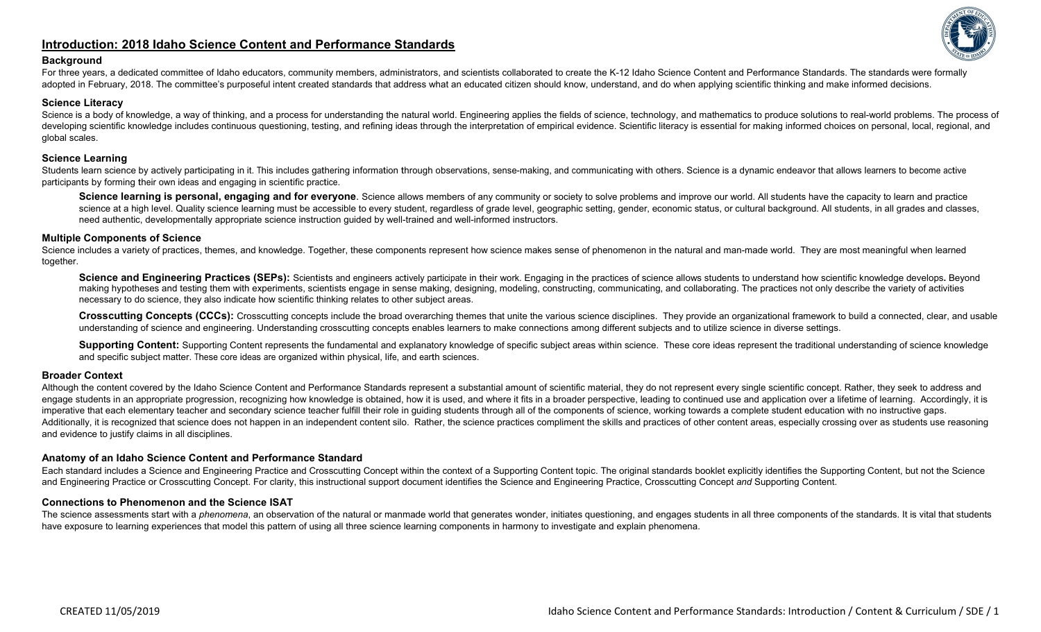# **Introduction: 2018 Idaho Science Content and Performance Standards**



#### **Background**

For three years, a dedicated committee of Idaho educators, community members, administrators, and scientists collaborated to create the K-12 Idaho Science Content and Performance Standards. The standards were formally adopted in February, 2018. The committee's purposeful intent created standards that address what an educated citizen should know, understand, and do when applying scientific thinking and make informed decisions.

### **Science Literacy**

Science is a body of knowledge, a way of thinking, and a process for understanding the natural world. Engineering applies the fields of science, technology, and mathematics to produce solutions to real-world problems. The developing scientific knowledge includes continuous questioning, testing, and refining ideas through the interpretation of empirical evidence. Scientific literacy is essential for making informed choices on personal, local global scales.

### **Science Learning**

Students learn science by actively participating in it. This includes gathering information through observations, sense-making, and communicating with others. Science is a dynamic endeavor that allows learners to become ac participants by forming their own ideas and engaging in scientific practice.

Science learning is personal, engaging and for everyone. Science allows members of any community or society to solve problems and improve our world. All students have the capacity to learn and practice science at a high level. Quality science learning must be accessible to every student, regardless of grade level, geographic setting, gender, economic status, or cultural background. All students, in all grades and classes need authentic, developmentally appropriate science instruction guided by well-trained and well-informed instructors.

### **Multiple Components of Science**

Science includes a variety of practices, themes, and knowledge. Together, these components represent how science makes sense of phenomenon in the natural and man-made world. They are most meaningful when learned together.

Science and Engineering Practices (SEPs): Scientists and engineers actively participate in their work. Engaging in the practices of science allows students to understand how scientific knowledge develops. Beyond making hypotheses and testing them with experiments, scientists engage in sense making, designing, modeling, constructing, communicating, and collaborating. The practices not only describe the variety of activities necessary to do science, they also indicate how scientific thinking relates to other subject areas.

Crosscutting Concepts (CCCs): Crosscutting concepts include the broad overarching themes that unite the various science disciplines. They provide an organizational framework to build a connected, clear, and usable understanding of science and engineering. Understanding crosscutting concepts enables learners to make connections among different subjects and to utilize science in diverse settings.

**Supporting Content:** Supporting Content represents the fundamental and explanatory knowledge of specific subject areas within science. These core ideas represent the traditional understanding of science knowledge and specific subject matter. These core ideas are organized within physical, life, and earth sciences.

## **Broader Context**

Although the content covered by the Idaho Science Content and Performance Standards represent a substantial amount of scientific material, they do not represent every single scientific concept. Rather, they seek to address engage students in an appropriate progression, recognizing how knowledge is obtained, how it is used, and where it fits in a broader perspective, leading to continued use and application over a lifetime of learning. Accord imperative that each elementary teacher and secondary science teacher fulfill their role in guiding students through all of the components of science, working towards a complete student education with no instructive gaps. Additionally, it is recognized that science does not happen in an independent content silo. Rather, the science practices compliment the skills and practices of other content areas, especially crossing over as students use and evidence to justify claims in all disciplines.

### **Anatomy of an Idaho Science Content and Performance Standard**

Each standard includes a Science and Engineering Practice and Crosscutting Concept within the context of a Supporting Content topic. The original standards booklet explicitly identifies the Supporting Content, but not the and Engineering Practice or Crosscutting Concept. For clarity, this instructional support document identifies the Science and Engineering Practice, Crosscutting Concept *and* Supporting Content.

### **Connections to Phenomenon and the Science ISAT**

The science assessments start with a *phenomena*, an observation of the natural or manmade world that generates wonder, initiates questioning, and engages students in all three components of the standards. It is vital that have exposure to learning experiences that model this pattern of using all three science learning components in harmony to investigate and explain phenomena.